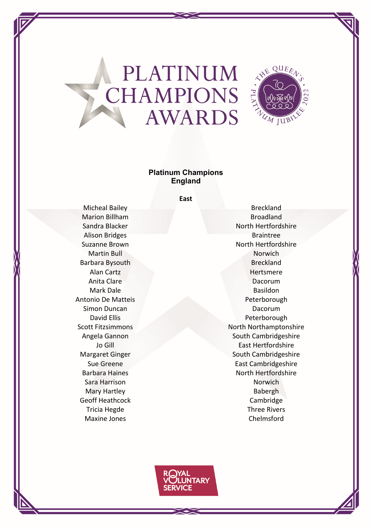

### **Platinum Champions England**

**East**

Marion Billham Broadland Alison Bridges **Braintree** Barbara Bysouth Breckland Antonio De Matteis **Peterborough** Simon Duncan Dacorum Dacorum Sara Harrison **Norwich** Norwich Mary Hartley **Babergh** Geoff Heathcock Cambridge Maxine Jones Chelmsford

Micheal Bailey **Breckland** Sandra Blacker North Hertfordshire Suzanne Brown North Hertfordshire Martin Bull Norwich Alan Cartz **Hertsmere** Anita Clare **Dacorum** Mark Dale **Basildon** David Ellis **Peterborough** Scott Fitzsimmons North Northamptonshire Angela Gannon South Cambridgeshire Jo Gill **East Hertfordshire** Margaret Ginger South Cambridgeshire Sue Greene **East Cambridgeshire** East Cambridgeshire Barbara Haines North Hertfordshire Tricia Hegde Three Rivers

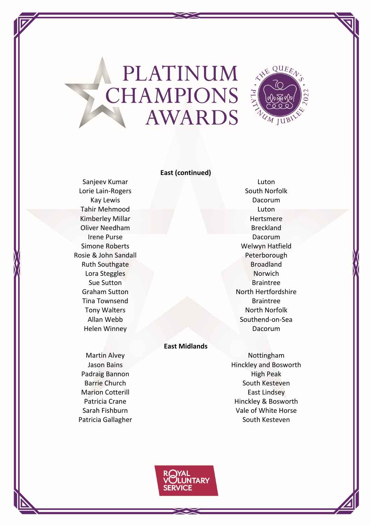

### **East (continued)**

Sanjeev Kumar Luton Luton Campus Ranjeev Kumar Luton Luton Luton Luton Luton Luton Luton Luton Luton Luton Luton **Lorie Lain-Rogers** North Norfolk Kay Lewis **Example 2018** National According to the Dacorum Tahir Mehmood Luton Kimberley Millar **Hertsmere** Oliver Needham Breckland Irene Purse **Dacorum** Simone Roberts **Welwyn Hatfield** Rosie & John Sandall **Peterborough** Ruth Southgate **Broadland** Lora Steggles Norwich **Sue Sutton Braintree** Tina Townsend Braintree Tony Walters North Norfolk Helen Winney Dacorum

Graham Sutton North Hertfordshire Allan Webb Southend-on-Sea

### **East Midlands**

Padraig Bannon **High Peak** 

Martin Alvey **Nottingham** Jason Bains **Hinckley** and Bosworth Barrie Church South Kesteven Marion Cotterill **East Lindsey** Patricia Crane **Hinckley & Bosworth** Sarah Fishburn **Vale of White Horse** Patricia Gallagher South Kesteven

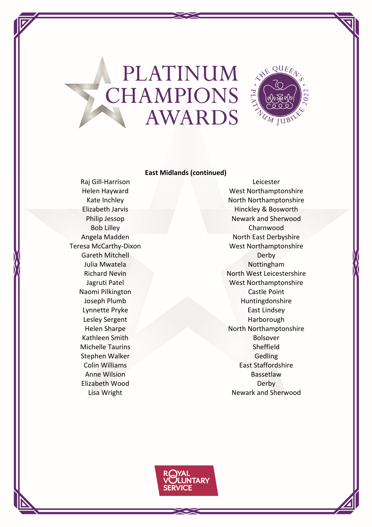

#### **East Midlands (continued)**

Gareth Mitchell Derby Derby Kathleen Smith Bolsover Michelle Taurins Sheffield Stephen Walker Gedling Elizabeth Wood Derby

Raj Gill‐Harrison Leicester Helen Hayward West Northamptonshire Kate Inchley North Northamptonshire Elizabeth Jarvis **Hinckley & Bosworth** Philip Jessop Newark and Sherwood Bob Lilley Charnwood Angela Madden North East Derbyshire Teresa McCarthy-Dixon West Northamptonshire Julia Mwatela **Nottingham** Richard Nevin North West Leicestershire Jagruti Patel Northamptonshire Naomi Pilkington Castle Point Joseph Plumb Huntingdonshire Lynnette Pryke East Lindsey Lesley Sergent Harborough Helen Sharpe North Northamptonshire **Colin Williams East Staffordshire** Anne Wilsion **Bassetlaw** Lisa Wright Newark and Sherwood

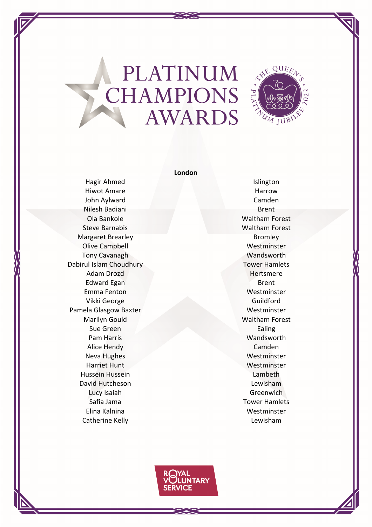

#### **London**

Hiwot Amare **Harrow** Harrow John Aylward Camden Nilesh Badiani Brent Brent Brent Brent Ola Bankole Waltham Forest Steve Barnabis Waltham Forest Margaret Brearley **Bromley** Bromley Olive Campbell **Westminster** Westminster Tony Cavanagh Wandsworth Dabirul Islam Choudhury **Tower Hamlets** Adam Drozd Hertsmere Edward Egan Brent Brent Brent Brent Brent Brent Brent Brent Brent Brent Brent Brent Brent Brent Brent Brent Brent Brent Brent Brent Brent Brent Brent Brent Brent Brent Brent Brent Brent Brent Brent Brent Brent Brent Brent Emma Fenton Westminster Vikki George Guildford Pamela Glasgow Baxter Westminster Marilyn Gould Waltham Forest **Sue Green** Ealing Pam Harris Wandsworth Alice Hendy Camden Neva Hughes **Westminster** Harriet Hunt Westminster Hussein Hussein Lambeth David Hutcheson **Lewisham** Lucy Isaiah Greenwich Safia Jama Tower Hamlets Elina Kalnina Westminster Catherine Kelly **Catherine Kelly Lewisham** 

Hagir Ahmed Islington

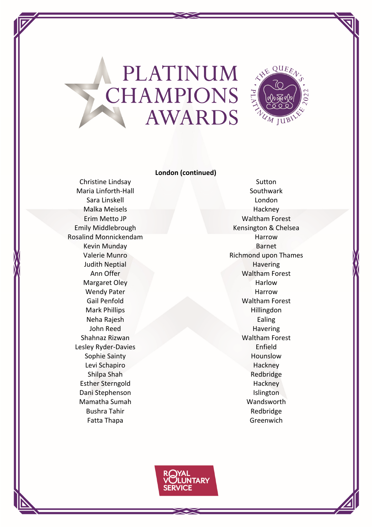

### **London (continued)**

Maria Linforth-Hall Southwark Southwark Sara Linskell London Malka Meisels **Hackney** Rosalind Monnickendam **Harrow** Harrow Kevin Munday **Barnet** Judith Neptial **Havering** Margaret Oley **Harlow** Harlow Wendy Pater **Harrow** Harrow Mark Phillips Hillingdon Neha Rajesh **Ealing** John Reed Havering Shahnaz Rizwan Waltham Forest Lesley Ryder-Davies Enfield Sophie Sainty **Hounslow** Levi Schapiro **Hackney** Shilpa Shah **Redbridge** Esther Sterngold Hackney Dani Stephenson **Islington** Mamatha Sumah Wandsworth Bushra Tahir **Redbridge** Fatta Thapa Greenwich

Christine Lindsay Sutton Erim Metto JP Waltham Forest Emily Middlebrough **Kensington & Chelsea** Valerie Munro **Nichmond upon Thames** Ann Offer Waltham Forest Gail Penfold Waltham Forest

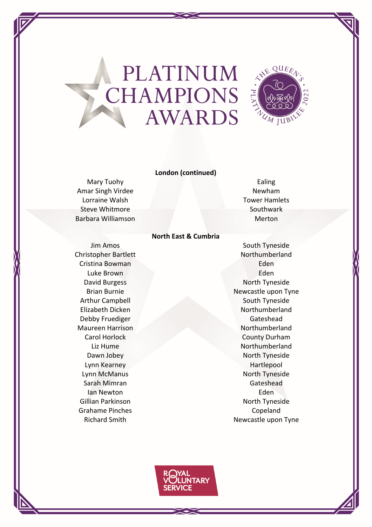

### **London (continued)**

**North East & Cumbria**

Amar Singh Virdee Newham Lorraine Walsh Tower Hamlets Steve Whitmore Southwark Barbara Williamson **Merton** Merton

Christopher Bartlett Northumberland Cristina Bowman **Eden** Luke Brown Eden Debby Fruediger Gateshead Lynn Kearney **Hartlepool** Sarah Mimran Gateshead Ian Newton Eden Grahame Pinches **Copeland** 

# Mary Tuohy **Ealing**

**Jim Amos** South Tyneside David Burgess North Tyneside Brian Burnie Newcastle upon Tyne Arthur Campbell South Tyneside Elizabeth Dicken Northumberland Maureen Harrison Northumberland Carol Horlock County Durham Liz Hume Northumberland Dawn Jobey North Tyneside Lynn McManus **North Tyneside** Gillian Parkinson **North Tyneside** Richard Smith Newcastle upon Tyne

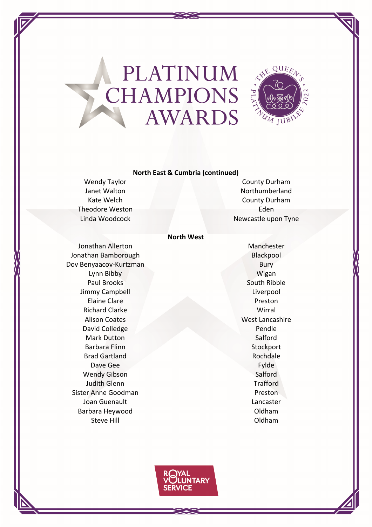

### **North East & Cumbria (continued)**

Theodore Weston **Eden** Eden

Wendy Taylor County Durham Janet Walton Northumberland Kate Welch **County Durham** Linda Woodcock Newcastle upon Tyne

### **North West**

Jonathan Allerton **Manchester** Manchester Jonathan Bamborough Blackpool Dov Benyaacov‐Kurtzman Bury Lynn Bibby Wigan Paul Brooks South Ribble Jimmy Campbell **Liverpool** Elaine Clare Preston Richard Clarke Wirral **Alison Coates News, Alison Coates West Lancashire** David Colledge Pendle Mark Dutton Salford Barbara Flinn Stockport Brad Gartland **Rochdale** Dave Gee Fylde Wendy Gibson Salford **Judith Glenn** Trafford Sister Anne Goodman **Preston** Joan Guenault Lancaster Barbara Heywood **Oldham** Steve Hill **Steve Hill Steve Hill** 

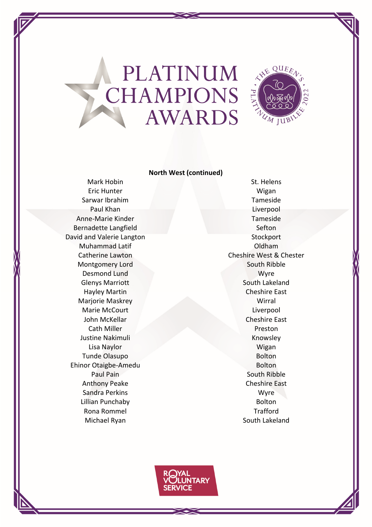

### **North West (continued)**

Eric Hunter Wigan Sarwar Ibrahim Tameside Paul Khan Liverpool Anne‐Marie Kinder Tameside Bernadette Langfield Sefton David and Valerie Langton Stockport Muhammad Latif Oldham Montgomery Lord South Ribble Desmond Lund Wyre Glenys Marriott **South Lakeland** Hayley Martin Cheshire East Marjorie Maskrey Wirral Marie McCourt Liverpool John McKellar Cheshire East **Cath Miller Preston** Justine Nakimuli Knowsley Lisa Naylor Wigan Tunde Olasupo **Bolton** Ehinor Otaigbe-Amedu Bolton Paul Pain November 2014 1997 South Ribble Anthony Peake Cheshire East Sandra Perkins Wyre Lillian Punchaby **Bolton** Rona Rommel **Trafford** Michael Ryan South Lakeland

Mark Hobin St. Helens Catherine Lawton Catherine Lawton Cheshire West & Chester

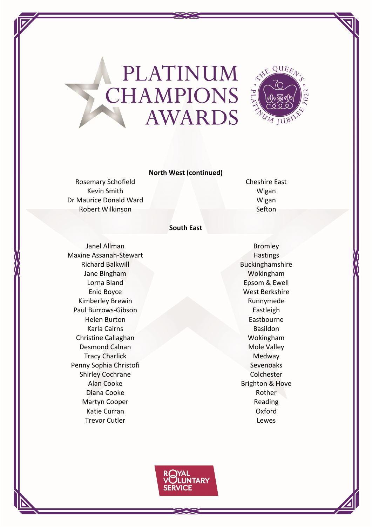

### **North West (continued)**

Rosemary Schofield **Cheshire East** Kevin Smith Wigan Dr Maurice Donald Ward Wigan Robert Wilkinson Sefton

### **South East**

Janel Allman Bromley Maxine Assanah-Stewart Hastings Richard Balkwill Buckinghamshire Jane Bingham Wokingham Lorna Bland Epsom & Ewell Enid Boyce West Berkshire Kimberley Brewin Runnymede Paul Burrows-Gibson Eastleigh Helen Burton Eastbourne **Karla Cairns** Basildon Christine Callaghan Wokingham Desmond Calnan Mole Valley Tracy Charlick Medway Penny Sophia Christofi Sevenoaks Shirley Cochrane Colchester Alan Cooke **Brighton & Hove** Brighton & Hove Diana Cooke **Rother** Rother Martyn Cooper **Reading** Reading Katie Curran Oxford Trevor Cutler **Lewes** 

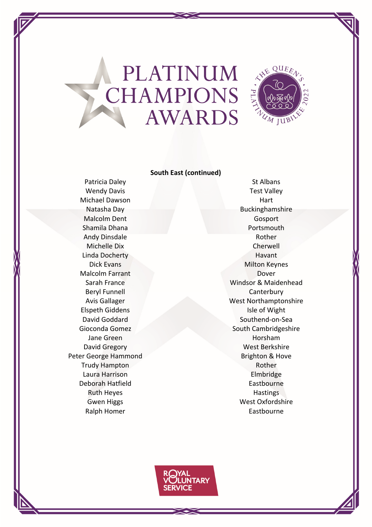

### **South East (continued)**

Wendy Davis **Test Valley** Michael Dawson **Hart** Hart Malcolm Dent Gosport Shamila Dhana **Portsmouth** Andy Dinsdale Rother Michelle Dix Cherwell Linda Docherty **Havant** Malcolm Farrant Dover Beryl Funnell **Canterbury Elspeth Giddens Isle of Wight** Jane Green Horsham Horsham Peter George Hammond Brighton & Hove Trudy Hampton **Rother** Rother Laura Harrison **Elmbridge** Deborah Hatfield **Eastbourne** Ruth Heyes **Hastings** Ralph Homer **Eastbourne** 

Patricia Daley St Albans Natasha Day **Buckinghamshire** Dick Evans Milton Keynes Sarah France Windsor & Maidenhead Avis Gallager West Northamptonshire David Goddard Southend‐on‐Sea Gioconda Gomez South Cambridgeshire David Gregory Nest Berkshire Gwen Higgs West Oxfordshire

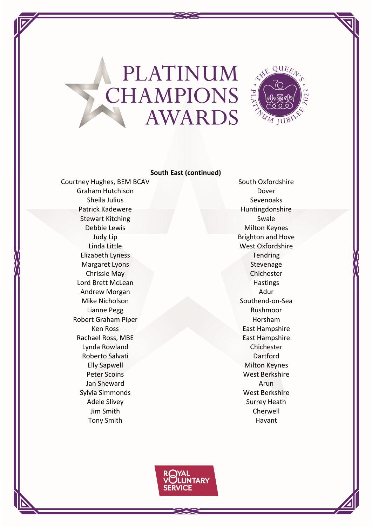

### **South East (continued)**

Courtney Hughes, BEM BCAV South Oxfordshire Graham Hutchison **Dover** Sheila Julius **Sheila Julius** Sevenoaks Patrick Kadewere **Huntingdonshire** Stewart Kitching Swale Debbie Lewis Milton Keynes Linda Little West Oxfordshire Elizabeth Lyness Tendring Margaret Lyons Stevenage Chrissie May Chichester Lord Brett McLean **Hastings** Hastings Andrew Morgan Adur Mike Nicholson Southend‐on‐Sea Lianne Pegg Rushmoor Robert Graham Piper **Horsham** Horsham **Ken Ross** East Hampshire Rachael Ross, MBE East Hampshire Lynda Rowland Chichester Roberto Salvati **Dartford** Elly Sapwell **Milton Keynes** Peter Scoins West Berkshire Jan Sheward **Arun** Sylvia Simmonds West Berkshire Adele Slivey New Surrey Heath Jim Smith Cherwell Tony Smith **Havant** 

Judy Lip Brighton and Hove

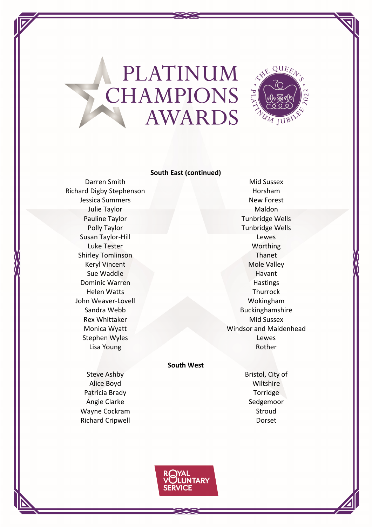

### **South East (continued)**

Darren Smith Mid Sussex Richard Digby Stephenson **Horsham Jessica Summers** New Forest Julie Taylor Maldon Pauline Taylor **Tunbridge Wells** Susan Taylor-Hill Lewes Luke Tester Northing Shirley Tomlinson Thanet Keryl Vincent Mole Valley Sue Waddle **Havant** Dominic Warren Hastings Helen Watts Thurrock John Weaver-Lovell Wokingham Rex Whittaker Mid Sussex Stephen Wyles **Lewes** Lisa Young **Rother** Rother

Polly Taylor **Tunbridge Wells** Sandra Webb Buckinghamshire Monica Wyatt **Windsor and Maidenhead** 

#### **South West**

Alice Boyd **Wiltshire** Patricia Brady **Torridge** Angie Clarke Sedgemoor Wayne Cockram and Stroud Richard Cripwell **Dorset** 

Steve Ashby **Bristol**, City of

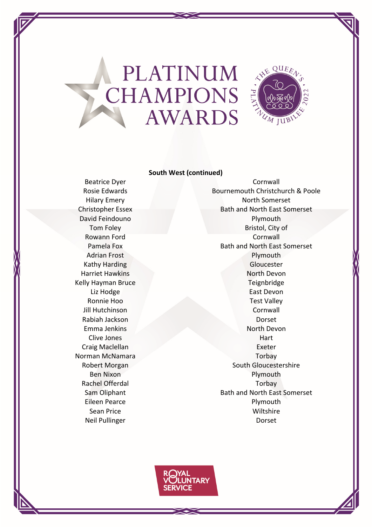

#### **South West (continued)**

Norman McNamara Torbay

Beatrice Dyer Cornwall Rosie Edwards **Bournemouth Christchurch & Poole** Hilary Emery North Somerset Christopher Essex Bath and North East Somerset David Feindouno **Plymouth** Tom Foley **Bristol**, City of Rowann Ford **Cornwall** Pamela Fox **Bath and North East Somerset** Adrian Frost **Plymouth** Kathy Harding Gloucester Harriet Hawkins North Devon Kelly Hayman Bruce Teignbridge Liz Hodge **East Devon** Ronnie Hoo Test Valley Jill Hutchinson Cornwall Rabiah Jackson Dorset Emma Jenkins North Devon Clive Jones Hart Craig Maclellan Exeter Robert Morgan South Gloucestershire Ben Nixon **Plymouth** Rachel Offerdal Torbay Sam Oliphant **Bath and North East Somerset** Eileen Pearce **Provident Community** Plymouth Sean Price Wiltshire Neil Pullinger **Dorset** 

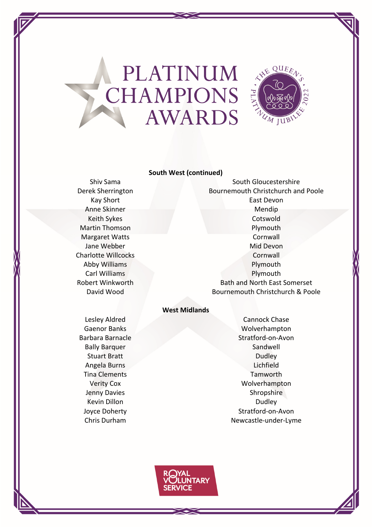

### **South West (continued)**

Shiv Sama Shiv Sama South Gloucestershire Derek Sherrington **Bournemouth Christchurch and Poole** Kay Short **East Devon** Anne Skinner Mendip Keith Sykes Cotswold Martin Thomson **Plymouth** Margaret Watts **Cornwall** Jane Webber **Mid Devon** Mid Devon Charlotte Willcocks **Cornwall** Abby Williams **Plymouth** Carl Williams **Plymouth** Robert Winkworth **Bath and North East Somerset** David Wood Bournemouth Christchurch & Poole

### **West Midlands**

Lesley Aldred Cannock Chase Gaenor Banks Wolverhampton Barbara Barnacle Stratford-on-Avon Bally Barquer Sandwell Sandwell Stuart Bratt **Dudley Dudley** Angela Burns Lichfield Tina Clements **Tamworth** Verity Cox Wolverhampton Jenny Davies **Shropshire** Shropshire Kevin Dillon Dudley News Dudley Joyce Doherty Stratford-on-Avon Chris Durham Newcastle-under-Lyme

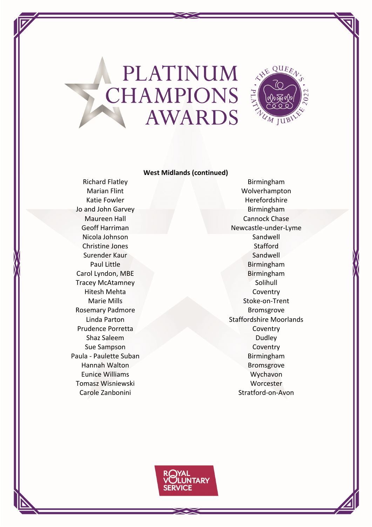

### **West Midlands (continued)**

Jo and John Garvey **Birmingham** Nicola Johnson Sandwell Christine Jones **Stafford** Surender Kaur Sandwell Surender Kaur Sandwell Sandwell Sandwell Sandwell Sandwell Carol Lyndon, MBE Birmingham Tracey McAtamney November 2012 1999 Solihull Hitesh Mehta Coventry Rosemary Padmore Bromsgrove Prudence Porretta Coventry Shaz Saleem Dudley **Sue Sampson Coventry** Paula - Paulette Suban Birmingham Hannah Walton **Bromsgrove** Eunice Williams **Wychavon** Tomasz Wisniewski Worcester Carole Zanbonini Stratford-on-Avon

Richard Flatley **Birmingham** Marian Flint Wolverhampton Katie Fowler **Herefordshire** Herefordshire Maureen Hall **Cannock Chase** Geoff Harriman Newcastle-under-Lyme Paul Little **Birmingham** Marie Mills Stoke-on-Trent Linda Parton Staffordshire Moorlands

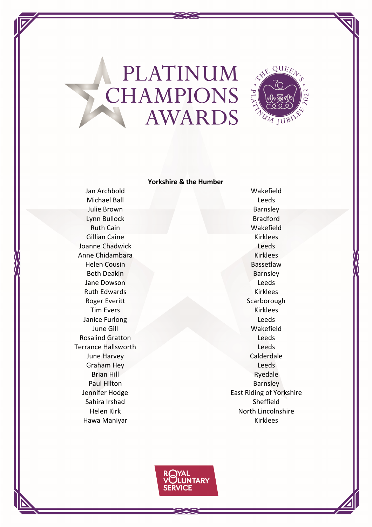

#### **Yorkshire & the Humber**

Michael Ball **Leeds Julie Brown Barnsley** Lynn Bullock Bradford Ruth Cain Wakefield Gillian Caine **Kirklees** Joanne Chadwick **Leeds** Anne Chidambara Kirklees Helen Cousin **Bassetlaw** Beth Deakin Barnsley **Jane Dowson** Leeds Ruth Edwards **Kirklees** Roger Everitt Scarborough Tim Evers Kirklees **Janice Furlong Leeds** Leeds June Gill Wakefield **Rosalind Gratton** Leeds **Terrance Hallsworth Leeds** June Harvey Calderdale Graham Hey **Strategies** Leeds Brian Hill Ryedale Paul Hilton **Barnsley** Sahira Irshad Sheffield

Jan Archbold Wakefield Jennifer Hodge **East Riding of Yorkshire** Helen Kirk North Lincolnshire Hawa Maniyar **Kirklees**